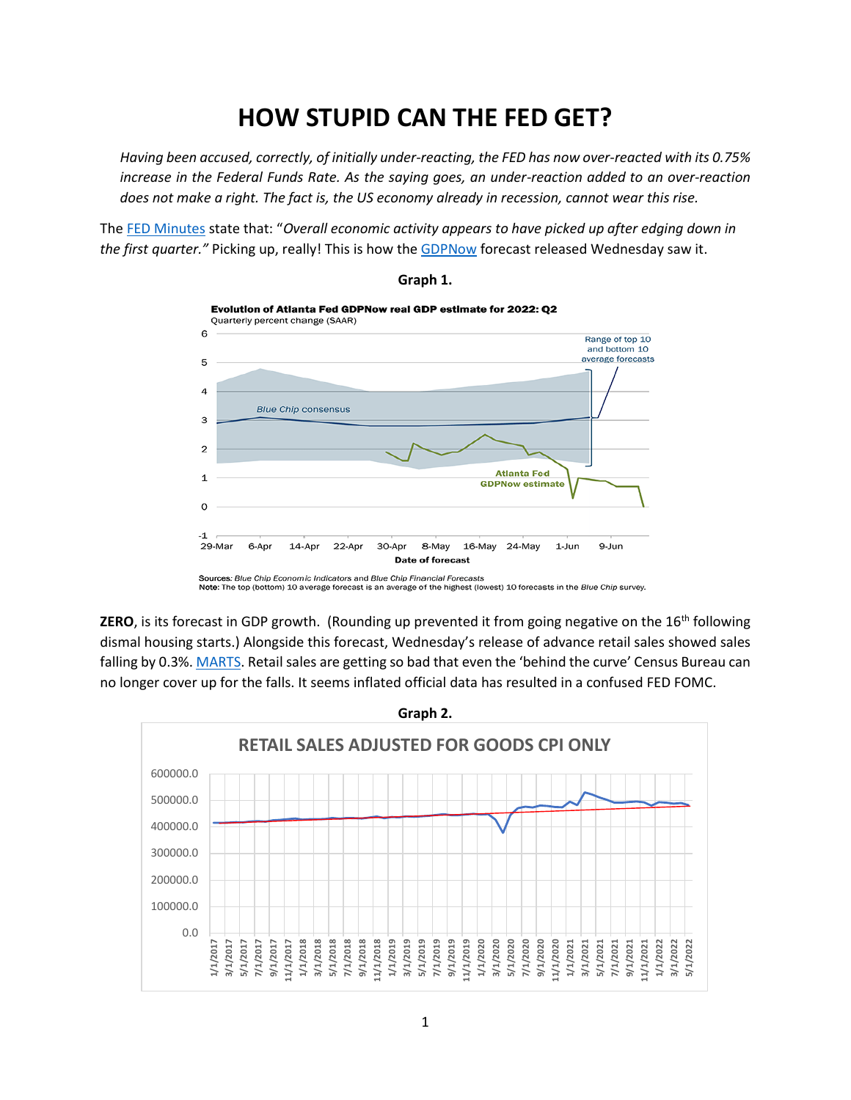# **HOW STUPID CAN THE FED GET?**

*Having been accused, correctly, of initially under-reacting, the FED has now over-reacted with its 0.75% increase in the Federal Funds Rate. As the saying goes, an under-reaction added to an over-reaction does not make a right. The fact is, the US economy already in recession, cannot wear this rise.*

The [FED Minutes](https://www.federalreserve.gov/monetarypolicy/files/monetary20220615a1.pdf) state that: "*Overall economic activity appears to have picked up after edging down in the first quarter."* Picking up, really! This is how the [GDPNow](https://www.atlantafed.org/cqer/research/gdpnow) forecast released Wednesday saw it.



**Graph 1.**

**ZERO**, is its forecast in GDP growth. (Rounding up prevented it from going negative on the 16<sup>th</sup> following dismal housing starts.) Alongside this forecast, Wednesday's release of advance retail sales showed sales falling by 0.3%. [MARTS](https://www.census.gov/retail/marts/www/marts_current.pdf). Retail sales are getting so bad that even the 'behind the curve' Census Bureau can no longer cover up for the falls. It seems inflated official data has resulted in a confused FED FOMC.



1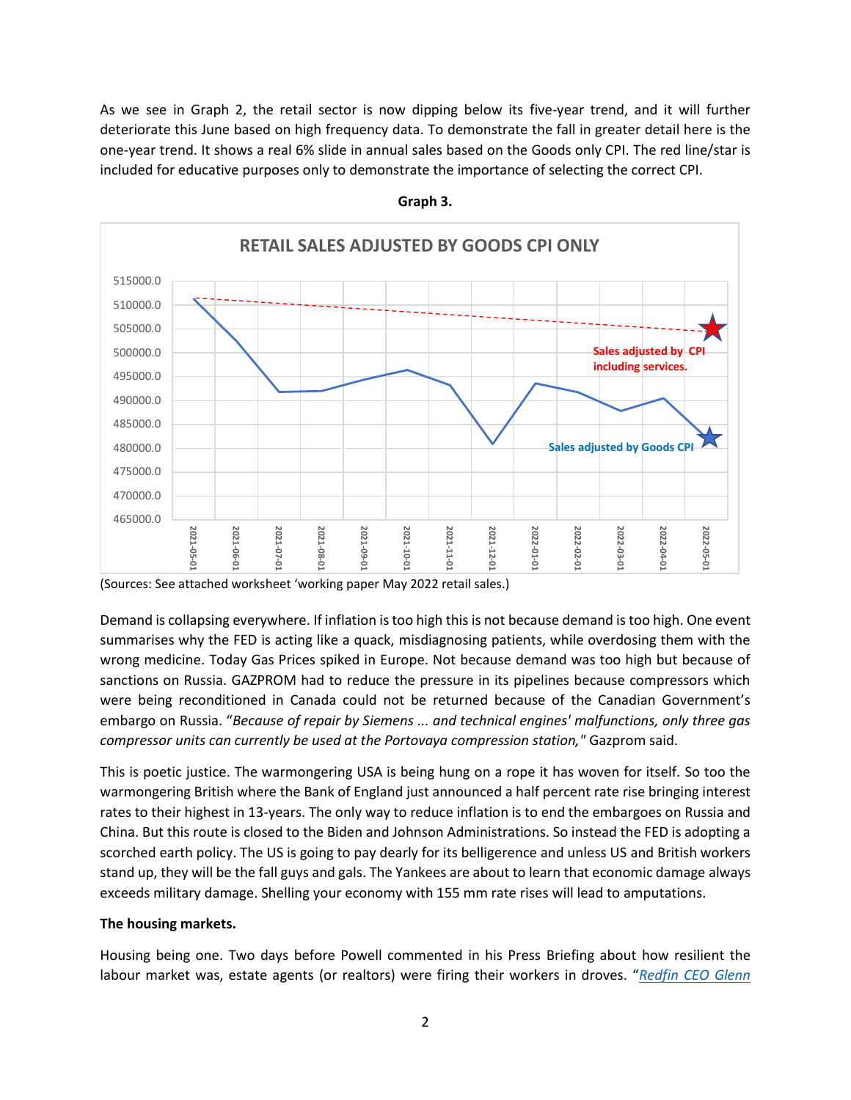As we see in Graph 2, the retail sector is now dipping below its five-year trend, and it will further deteriorate this June based on high frequency data. To demonstrate the fall in greater detail here is the one-year trend. It shows a real 6% slide in annual sales based on the Goods only CPI. The red line/star is included for educative purposes only to demonstrate the importance of selecting the correct CPI.



### **Graph 3.**

(Sources: See attached worksheet 'working paper May 2022 retail sales.)

Demand is collapsing everywhere. If inflation is too high this is not because demand is too high. One event summarises why the FED is acting like a quack, misdiagnosing patients, while overdosing them with the wrong medicine. Today Gas Prices spiked in Europe. Not because demand was too high but because of sanctions on Russia. GAZPROM had to reduce the pressure in its pipelines because compressors which were being reconditioned in Canada could not be returned because of the Canadian Government's embargo on Russia. "*Because of repair by Siemens ... and technical engines' malfunctions, only three gas compressor units can currently be used at the Portovaya compression station,"* Gazprom said.

This is poetic justice. The warmongering USA is being hung on a rope it has woven for itself. So too the warmongering British where the Bank of England just announced a half percent rate rise bringing interest rates to their highest in 13-years. The only way to reduce inflation is to end the embargoes on Russia and China. But this route is closed to the Biden and Johnson Administrations. So instead the FED is adopting a scorched earth policy. The US is going to pay dearly for its belligerence and unless US and British workers stand up, they will be the fall guys and gals. The Yankees are about to learn that economic damage always exceeds military damage. Shelling your economy with 155 mm rate rises will lead to amputations.

## **The housing markets.**

Housing being one. Two days before Powell commented in his Press Briefing about how resilient the labour market was, estate agents (or realtors) were firing their workers in droves. "*[Redfin CEO Glenn](https://www.yahoo.com/lifestyle/read-email-redfins-ceo-sent-121940040.html)*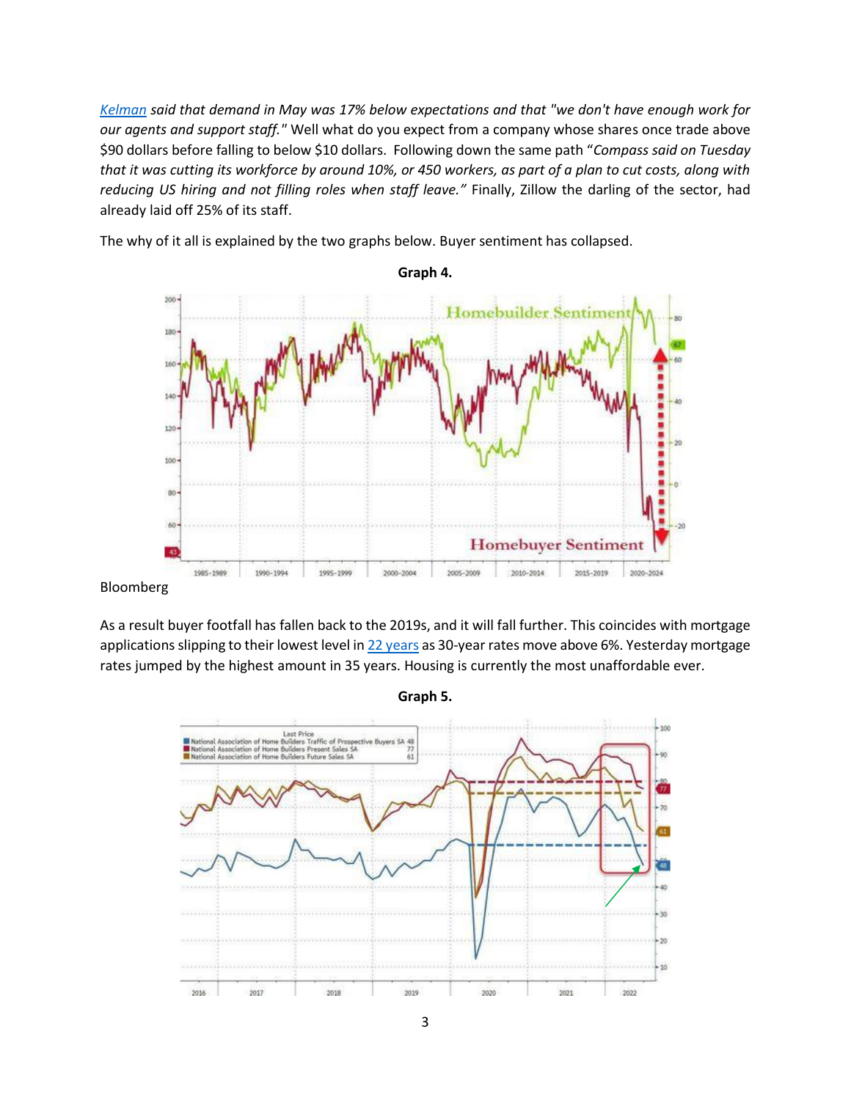*[Kelman](https://www.yahoo.com/lifestyle/read-email-redfins-ceo-sent-121940040.html) said that demand in May was 17% below expectations and that "we don't have enough work for our agents and support staff."* Well what do you expect from a company whose shares once trade above \$90 dollars before falling to below \$10 dollars. Following down the same path "*Compass said on Tuesday that it was cutting its workforce by around 10%, or 450 workers, as part of a plan to cut costs, along with reducing US hiring and not filling roles when staff leave."* Finally, Zillow the darling of the sector, had already laid off 25% of its staff.



The why of it all is explained by the two graphs below. Buyer sentiment has collapsed.

Bloomberg

As a result buyer footfall has fallen back to the 2019s, and it will fall further. This coincides with mortgage applications slipping to their lowest level i[n 22 years](https://www.cnbc.com/2022/06/08/mortgage-demand-falls-to-the-lowest-level-in-22-years.html) as 30-year rates move above 6%. Yesterday mortgage rates jumped by the highest amount in 35 years. Housing is currently the most unaffordable ever.



**Graph 5.**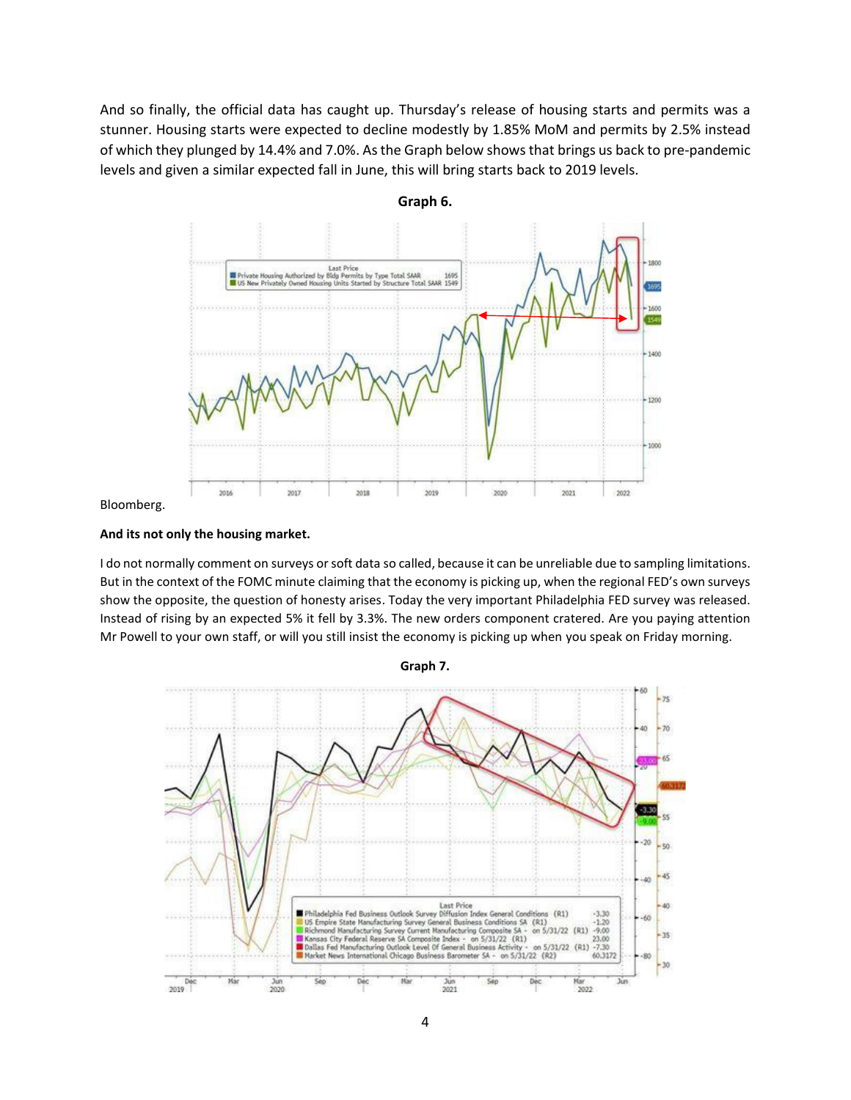And so finally, the official data has caught up. Thursday's release of housing starts and permits was a stunner. Housing starts were expected to decline modestly by 1.85% MoM and permits by 2.5% instead of which they plunged by 14.4% and 7.0%. As the Graph below shows that brings us back to pre-pandemic levels and given a similar expected fall in June, this will bring starts back to 2019 levels.



**Graph 6.**

#### Bloomberg.

#### **And its not only the housing market.**

I do not normally comment on surveys or soft data so called, because it can be unreliable due to sampling limitations. But in the context of the FOMC minute claiming that the economy is picking up, when the regional FED's own surveys show the opposite, the question of honesty arises. Today the very important Philadelphia FED survey was released. Instead of rising by an expected 5% it fell by 3.3%. The new orders component cratered. Are you paying attention Mr Powell to your own staff, or will you still insist the economy is picking up when you speak on Friday morning.



**Graph 7.**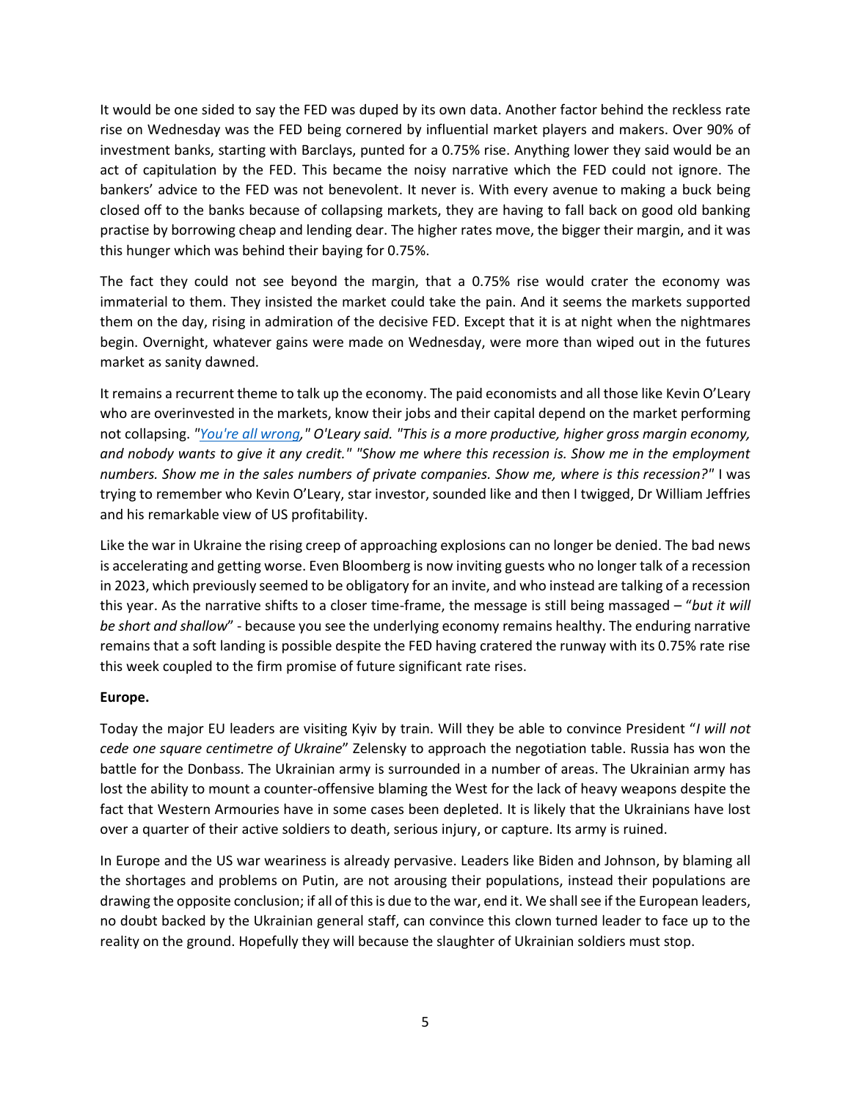It would be one sided to say the FED was duped by its own data. Another factor behind the reckless rate rise on Wednesday was the FED being cornered by influential market players and makers. Over 90% of investment banks, starting with Barclays, punted for a 0.75% rise. Anything lower they said would be an act of capitulation by the FED. This became the noisy narrative which the FED could not ignore. The bankers' advice to the FED was not benevolent. It never is. With every avenue to making a buck being closed off to the banks because of collapsing markets, they are having to fall back on good old banking practise by borrowing cheap and lending dear. The higher rates move, the bigger their margin, and it was this hunger which was behind their baying for 0.75%.

The fact they could not see beyond the margin, that a 0.75% rise would crater the economy was immaterial to them. They insisted the market could take the pain. And it seems the markets supported them on the day, rising in admiration of the decisive FED. Except that it is at night when the nightmares begin. Overnight, whatever gains were made on Wednesday, were more than wiped out in the futures market as sanity dawned.

It remains a recurrent theme to talk up the economy. The paid economists and all those like Kevin O'Leary who are overinvested in the markets, know their jobs and their capital depend on the market performing not collapsing. *["You're all wrong,](https://www.benzinga.com/trading-ideas/long-ideas/22/06/27725722/what-recession-why-kevin-oleary-says-youre-all-wrong-about-the-economy)" O'Leary said. "This is a more productive, higher gross margin economy, and nobody wants to give it any credit." "Show me where this recession is. Show me in the employment numbers. Show me in the sales numbers of private companies. Show me, where is this recession?"* I was trying to remember who Kevin O'Leary, star investor, sounded like and then I twigged, Dr William Jeffries and his remarkable view of US profitability.

Like the war in Ukraine the rising creep of approaching explosions can no longer be denied. The bad news is accelerating and getting worse. Even Bloomberg is now inviting guests who no longer talk of a recession in 2023, which previously seemed to be obligatory for an invite, and who instead are talking of a recession this year. As the narrative shifts to a closer time-frame, the message is still being massaged – "*but it will be short and shallow*" - because you see the underlying economy remains healthy. The enduring narrative remains that a soft landing is possible despite the FED having cratered the runway with its 0.75% rate rise this week coupled to the firm promise of future significant rate rises.

# **Europe.**

Today the major EU leaders are visiting Kyiv by train. Will they be able to convince President "*I will not cede one square centimetre of Ukraine*" Zelensky to approach the negotiation table. Russia has won the battle for the Donbass. The Ukrainian army is surrounded in a number of areas. The Ukrainian army has lost the ability to mount a counter-offensive blaming the West for the lack of heavy weapons despite the fact that Western Armouries have in some cases been depleted. It is likely that the Ukrainians have lost over a quarter of their active soldiers to death, serious injury, or capture. Its army is ruined.

In Europe and the US war weariness is already pervasive. Leaders like Biden and Johnson, by blaming all the shortages and problems on Putin, are not arousing their populations, instead their populations are drawing the opposite conclusion; if all of this is due to the war, end it. We shall see if the European leaders, no doubt backed by the Ukrainian general staff, can convince this clown turned leader to face up to the reality on the ground. Hopefully they will because the slaughter of Ukrainian soldiers must stop.